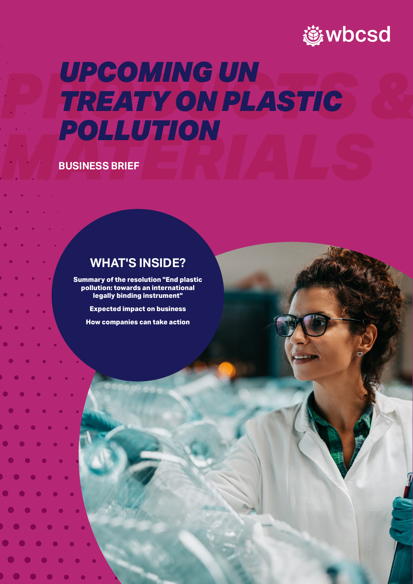

BUSINESS BRIEF **1**

# **PREATY ON PLASTIC & MATERIALS**<br>
BUSINESS BRIEF<br>
AND THE MATERIALS *UPCOMING UN TREATY ON PLASTIC POLLUTION*

**BUSINESS BRIEF**

### **WHAT'S INSIDE?**

**Summary of the resolution "End plastic pollution: towards an international legally binding instrument"**

**Expected impact on business**

**How companies can take action**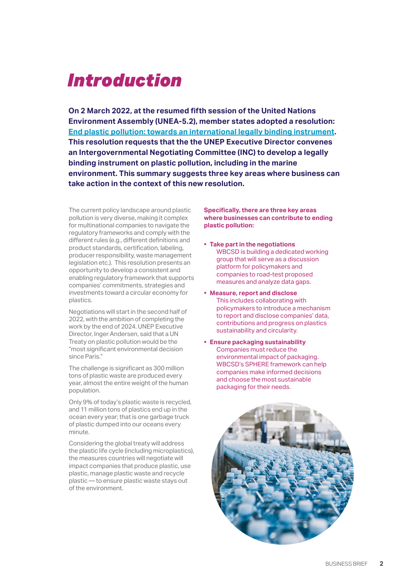### *Introduction*

**On 2 March 2022, at the resumed fifth session of the United Nations Environment Assembly (UNEA-5.2), member states adopted a resolution: [End plastic pollution: towards an international legally binding instrument](https://wedocs.unep.org/bitstream/handle/20.500.11822/38522/k2200647_-_unep-ea-5-l-23-rev-1_-_advance.pdf?sequence=1&isAllowed=y). This resolution requests that the the UNEP Executive Director convenes an Intergovernmental Negotiating Committee (INC) to develop a legally binding instrument on plastic pollution, including in the marine environment. This summary suggests three key areas where business can take action in the context of this new resolution.**

The current policy landscape around plastic pollution is very diverse, making it complex for multinational companies to navigate the regulatory frameworks and comply with the different rules (e.g., different definitions and product standards, certification, labeling, producer responsibility, waste management legislation etc.). This resolution presents an opportunity to develop a consistent and enabling regulatory framework that supports companies' commitments, strategies and investments toward a circular economy for plastics.

Negotiations will start in the second half of 2022, with the ambition of completing the work by the end of 2024. UNEP Executive Director, Inger Andersen, said that a UN Treaty on plastic pollution would be the "most significant environmental decision since Paris."

The challenge is significant as 300 million tons of plastic waste are produced every year, almost the entire weight of the human population.

Only 9% of today's plastic waste is recycled, and 11 million tons of plastics end up in the ocean every year; that is one garbage truck of plastic dumped into our oceans every minute.

Considering the global treaty will address the plastic life cycle (including microplastics), the measures countries will negotiate will impact companies that produce plastic, use plastic, manage plastic waste and recycle plastic — to ensure plastic waste stays out of the environment.

**Specifically, there are three key areas where businesses can contribute to ending plastic pollution:** 

- **• Take part in the negotiations** WBCSD is building a dedicated working group that will serve as a discussion platform for policymakers and companies to road-test proposed measures and analyze data gaps.
- **• Measure, report and disclose** This includes collaborating with policymakers to introduce a mechanism to report and disclose companies' data, contributions and progress on plastics sustainability and circularity.
- **• Ensure packaging sustainability** Companies must reduce the environmental impact of packaging. WBCSD's SPHERE framework can help companies make informed decisions and choose the most sustainable packaging for their needs.

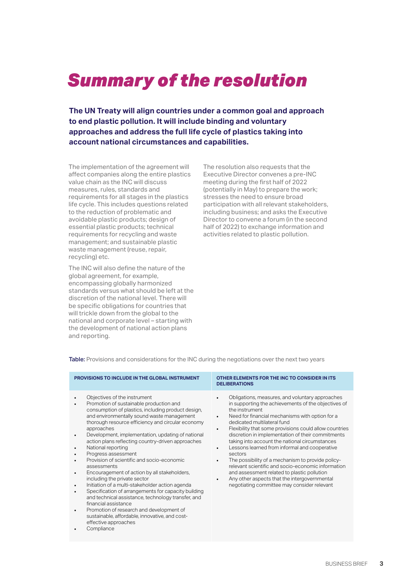### *Summary of the resolution*

**The UN Treaty will align countries under a common goal and approach to end plastic pollution. It will include binding and voluntary approaches and address the full life cycle of plastics taking into account national circumstances and capabilities.** 

The implementation of the agreement will affect companies along the entire plastics value chain as the INC will discuss measures, rules, standards and requirements for all stages in the plastics life cycle. This includes questions related to the reduction of problematic and avoidable plastic products; design of essential plastic products; technical requirements for recycling and waste management; and sustainable plastic waste management (reuse, repair, recycling) etc.

The INC will also define the nature of the global agreement, for example, encompassing globally harmonized standards versus what should be left at the discretion of the national level. There will be specific obligations for countries that will trickle down from the global to the national and corporate level – starting with the development of national action plans and reporting.

The resolution also requests that the Executive Director convenes a pre-INC meeting during the first half of 2022 (potentially in May) to prepare the work; stresses the need to ensure broad participation with all relevant stakeholders, including business; and asks the Executive Director to convene a forum (in the second half of 2022) to exchange information and activities related to plastic pollution.

| PROVISIONS TO INCLUDE IN THE GLOBAL INSTRUMENT                                                                                                                                                                                                                                                                                                                                                                                                                                                                                                                                                                                                                                                                                                                                                                                                                                                                                                                                              | OTHER ELEMENTS FOR THE INC TO CONSIDER IN ITS<br><b>DELIBERATIONS</b>                                                                                                                                                                                                                                                                                                                                                                                                                                                                                                                                                                                                                                                                                                          |
|---------------------------------------------------------------------------------------------------------------------------------------------------------------------------------------------------------------------------------------------------------------------------------------------------------------------------------------------------------------------------------------------------------------------------------------------------------------------------------------------------------------------------------------------------------------------------------------------------------------------------------------------------------------------------------------------------------------------------------------------------------------------------------------------------------------------------------------------------------------------------------------------------------------------------------------------------------------------------------------------|--------------------------------------------------------------------------------------------------------------------------------------------------------------------------------------------------------------------------------------------------------------------------------------------------------------------------------------------------------------------------------------------------------------------------------------------------------------------------------------------------------------------------------------------------------------------------------------------------------------------------------------------------------------------------------------------------------------------------------------------------------------------------------|
| Objectives of the instrument<br>$\bullet$<br>Promotion of sustainable production and<br>$\bullet$<br>consumption of plastics, including product design,<br>and environmentally sound waste management<br>thorough resource efficiency and circular economy<br>approaches<br>Development, implementation, updating of national<br>$\bullet$<br>action plans reflecting country-driven approaches<br>National reporting<br>$\bullet$<br>Progress assessment<br>٠<br>Provision of scientific and socio-economic<br>assessments<br>Encouragement of action by all stakeholders,<br>$\bullet$<br>including the private sector<br>Initiation of a multi-stakeholder action agenda<br>$\bullet$<br>Specification of arrangements for capacity building<br>$\bullet$<br>and technical assistance, technology transfer, and<br>financial assistance<br>Promotion of research and development of<br>$\bullet$<br>sustainable, affordable, innovative, and cost-<br>effective approaches<br>Compliance | Obligations, measures, and voluntary approaches<br>$\bullet$<br>in supporting the achievements of the objectives of<br>the instrument<br>Need for financial mechanisms with option for a<br>$\bullet$<br>dedicated multilateral fund<br>Flexibility that some provisions could allow countries<br>$\bullet$<br>discretion in implementation of their commitments<br>taking into account the national circumstances<br>Lessons learned from informal and cooperative<br>$\bullet$<br>sectors<br>The possibility of a mechanism to provide policy-<br>$\bullet$<br>relevant scientific and socio-economic information<br>and assessment related to plastic pollution<br>Any other aspects that the intergovernmental<br>$\bullet$<br>negotiating committee may consider relevant |

Table: Provisions and considerations for the INC during the negotiations over the next two years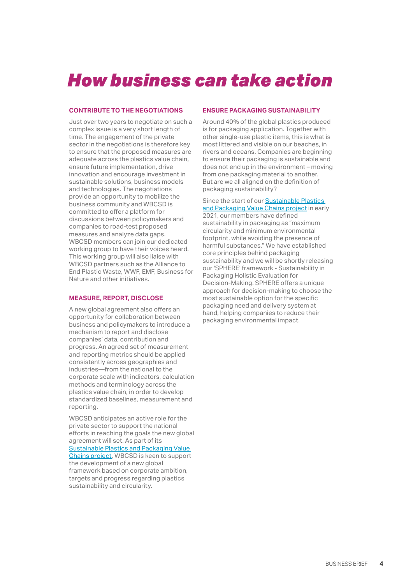## *How business can take action*

#### **CONTRIBUTE TO THE NEGOTIATIONS**

Just over two years to negotiate on such a complex issue is a very short length of time. The engagement of the private sector in the negotiations is therefore key to ensure that the proposed measures are adequate across the plastics value chain, ensure future implementation, drive innovation and encourage investment in sustainable solutions, business models and technologies. The negotiations provide an opportunity to mobilize the business community and WBCSD is committed to offer a platform for discussions between policymakers and companies to road-test proposed measures and analyze data gaps. WBCSD members can join our dedicated working group to have their voices heard. This working group will also liaise with WBCSD partners such as the Alliance to End Plastic Waste, WWF, EMF, Business for Nature and other initiatives.

#### **MEASURE, REPORT, DISCLOSE**

A new global agreement also offers an opportunity for collaboration between business and policymakers to introduce a mechanism to report and disclose companies' data, contribution and progress. An agreed set of measurement and reporting metrics should be applied consistently across geographies and industries—from the national to the corporate scale with indicators, calculation methods and terminology across the plastics value chain, in order to develop standardized baselines, measurement and reporting.

WBCSD anticipates an active role for the private sector to support the national efforts in reaching the goals the new global agreement will set. As part of its [Sustainable Plastics and Packaging Value](https://www.wbcsd.org/Programs/Circular-Economy/Sustainable-Plastics-and-Packaging-Value-Chains)  [Chains project](https://www.wbcsd.org/Programs/Circular-Economy/Sustainable-Plastics-and-Packaging-Value-Chains), WBCSD is keen to support the development of a new global framework based on corporate ambition, targets and progress regarding plastics sustainability and circularity.

#### **ENSURE PACKAGING SUSTAINABILITY**

Around 40% of the global plastics produced is for packaging application. Together with other single-use plastic items, this is what is most littered and visible on our beaches, in rivers and oceans. Companies are beginning to ensure their packaging is sustainable and does not end up in the environment – moving from one packaging material to another. But are we all aligned on the definition of packaging sustainability?

Since the start of our Sustainable Plastics and Packaging Value Chains project in early 2021, our members have defined sustainability in packaging as "maximum circularity and minimum environmental footprint, while avoiding the presence of harmful substances." We have established core principles behind packaging sustainability and we will be shortly releasing our 'SPHERE' framework - Sustainability in Packaging Holistic Evaluation for Decision-Making. SPHERE offers a unique approach for decision-making to choose the most sustainable option for the specific packaging need and delivery system at hand, helping companies to reduce their packaging environmental impact.